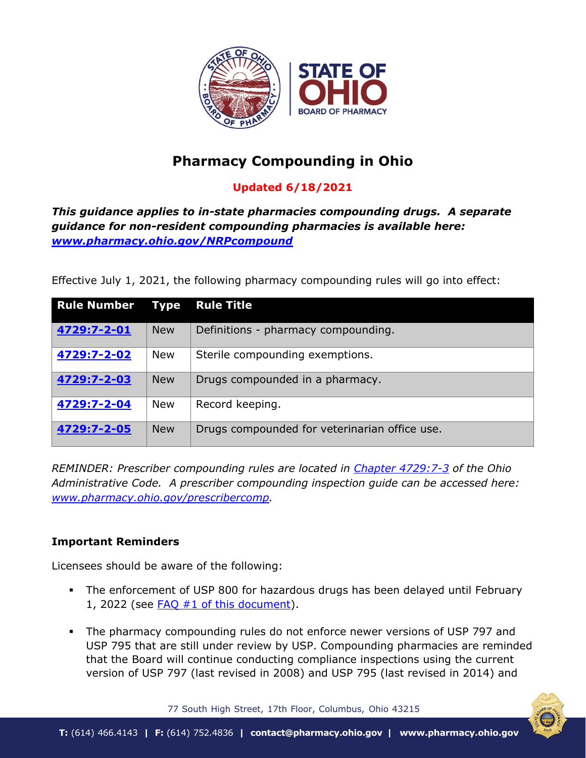

# **Pharmacy Compounding in Ohio**

# **Updated 6/18/2021**

*This guidance applies to in-state pharmacies compounding drugs. A separate guidance for non-resident compounding pharmacies is available here: [www.pharmacy.ohio.gov/NRPcompound](http://www.pharmacy.ohio.gov/NRPcompound)*

Effective July 1, 2021, the following pharmacy compounding rules will go into effect:

| <b>Rule Number</b> | <b>Type</b> | <b>Rule Title</b>                             |  |
|--------------------|-------------|-----------------------------------------------|--|
| 4729:7-2-01        | <b>New</b>  | Definitions - pharmacy compounding.           |  |
| 4729:7-2-02        | <b>New</b>  | Sterile compounding exemptions.               |  |
| 4729:7-2-03        | <b>New</b>  | Drugs compounded in a pharmacy.               |  |
| 4729:7-2-04        | <b>New</b>  | Record keeping.                               |  |
| 4729:7-2-05        | <b>New</b>  | Drugs compounded for veterinarian office use. |  |

*REMINDER: Prescriber compounding rules are located in [Chapter 4729:7-3](https://codes.ohio.gov/ohio-administrative-code/chapter-4729:7-3) of the Ohio Administrative Code. A prescriber compounding inspection guide can be accessed here: [www.pharmacy.ohio.gov/prescribercomp.](http://www.pharmacy.ohio.gov/prescribercomp)* 

# **Important Reminders**

Licensees should be aware of the following:

- The enforcement of USP 800 for hazardous drugs has been delayed until February 1, 2022 (see  $FAQ #1$  [of this document\)](#page-2-0).
- The pharmacy compounding rules do not enforce newer versions of USP 797 and USP 795 that are still under review by USP. Compounding pharmacies are reminded that the Board will continue conducting compliance inspections using the current version of USP 797 (last revised in 2008) and USP 795 (last revised in 2014) and

77 South High Street, 17th Floor, Columbus, Ohio 43215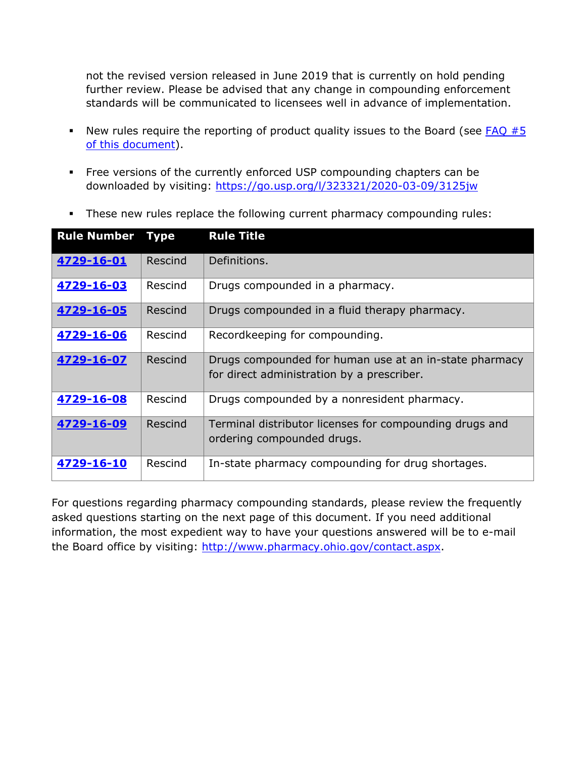not the revised version released in June 2019 that is currently on hold pending further review. Please be advised that any change in compounding enforcement standards will be communicated to licensees well in advance of implementation.

- New rules require the reporting of product quality issues to the Board (see  $FAQ \#5$ [of this document\)](#page-4-0).
- Free versions of the currently enforced USP compounding chapters can be downloaded by visiting:<https://go.usp.org/l/323321/2020-03-09/3125jw>

|  |  | • These new rules replace the following current pharmacy compounding rules: |
|--|--|-----------------------------------------------------------------------------|
|  |  |                                                                             |

| <b>Rule Number</b> | <b>Type</b> | <b>Rule Title</b>                                                                                    |
|--------------------|-------------|------------------------------------------------------------------------------------------------------|
| 4729-16-01         | Rescind     | Definitions.                                                                                         |
| 4729-16-03         | Rescind     | Drugs compounded in a pharmacy.                                                                      |
| 4729-16-05         | Rescind     | Drugs compounded in a fluid therapy pharmacy.                                                        |
| 4729-16-06         | Rescind     | Recordkeeping for compounding.                                                                       |
| 4729-16-07         | Rescind     | Drugs compounded for human use at an in-state pharmacy<br>for direct administration by a prescriber. |
| 4729-16-08         | Rescind     | Drugs compounded by a nonresident pharmacy.                                                          |
| 4729-16-09         | Rescind     | Terminal distributor licenses for compounding drugs and<br>ordering compounded drugs.                |
| 4729-16-10         | Rescind     | In-state pharmacy compounding for drug shortages.                                                    |

For questions regarding pharmacy compounding standards, please review the frequently asked questions starting on the next page of this document. If you need additional information, the most expedient way to have your questions answered will be to e-mail the Board office by visiting: [http://www.pharmacy.ohio.gov/contact.aspx.](http://www.pharmacy.ohio.gov/contact.aspx)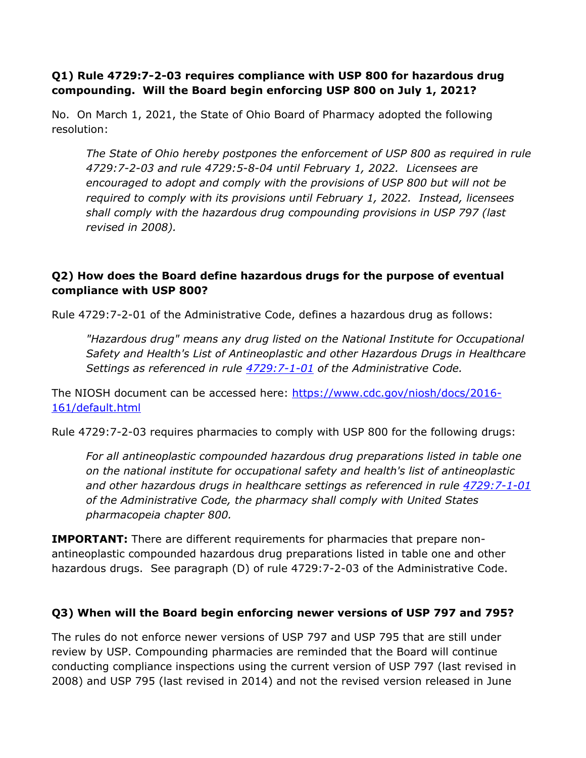#### <span id="page-2-0"></span>**Q1) Rule 4729:7-2-03 requires compliance with USP 800 for hazardous drug compounding. Will the Board begin enforcing USP 800 on July 1, 2021?**

No. On March 1, 2021, the State of Ohio Board of Pharmacy adopted the following resolution:

*The State of Ohio hereby postpones the enforcement of USP 800 as required in rule 4729:7-2-03 and rule 4729:5-8-04 until February 1, 2022. Licensees are encouraged to adopt and comply with the provisions of USP 800 but will not be required to comply with its provisions until February 1, 2022. Instead, licensees shall comply with the hazardous drug compounding provisions in USP 797 (last revised in 2008).*

# **Q2) How does the Board define hazardous drugs for the purpose of eventual compliance with USP 800?**

Rule 4729:7-2-01 of the Administrative Code, defines a hazardous drug as follows:

*"Hazardous drug" means any drug listed on the National Institute for Occupational Safety and Health's List of Antineoplastic and other Hazardous Drugs in Healthcare Settings as referenced in rule [4729:7-1-01](https://codes.ohio.gov/ohio-administrative-code/rule-4729:7-1-01) of the Administrative Code.*

The NIOSH document can be accessed here: [https://www.cdc.gov/niosh/docs/2016-](https://www.cdc.gov/niosh/docs/2016-161/default.html) [161/default.html](https://www.cdc.gov/niosh/docs/2016-161/default.html)

Rule 4729:7-2-03 requires pharmacies to comply with USP 800 for the following drugs:

*For all antineoplastic compounded hazardous drug preparations listed in table one on the national institute for occupational safety and health's list of antineoplastic and other hazardous drugs in healthcare settings as referenced in rule [4729:7-1-01](https://codes.ohio.gov/ohio-administrative-code/rule-4729:7-1-01) of the Administrative Code, the pharmacy shall comply with United States pharmacopeia chapter 800.*

**IMPORTANT:** There are different requirements for pharmacies that prepare nonantineoplastic compounded hazardous drug preparations listed in table one and other hazardous drugs. See paragraph (D) of rule 4729:7-2-03 of the Administrative Code.

# **Q3) When will the Board begin enforcing newer versions of USP 797 and 795?**

The rules do not enforce newer versions of USP 797 and USP 795 that are still under review by USP. Compounding pharmacies are reminded that the Board will continue conducting compliance inspections using the current version of USP 797 (last revised in 2008) and USP 795 (last revised in 2014) and not the revised version released in June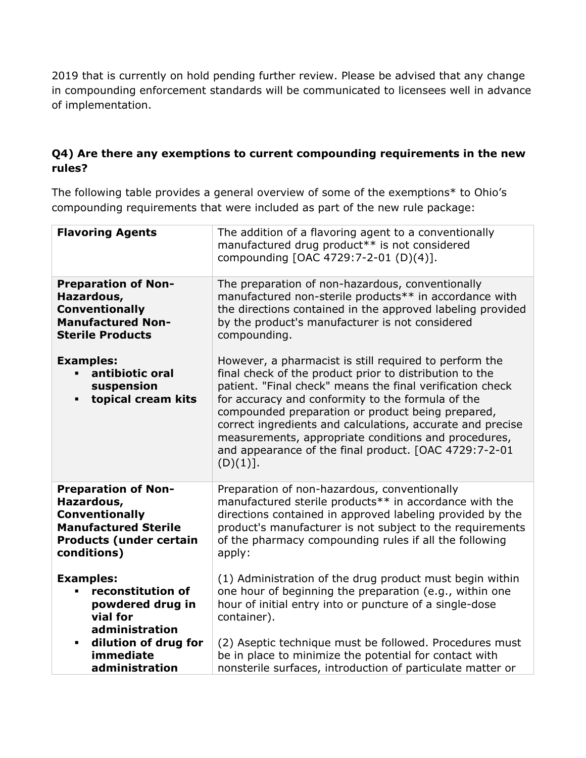2019 that is currently on hold pending further review. Please be advised that any change in compounding enforcement standards will be communicated to licensees well in advance of implementation.

# **Q4) Are there any exemptions to current compounding requirements in the new rules?**

The following table provides a general overview of some of the exemptions\* to Ohio's compounding requirements that were included as part of the new rule package:

| <b>Flavoring Agents</b>                                                                                                                           | The addition of a flavoring agent to a conventionally<br>manufactured drug product** is not considered<br>compounding [OAC 4729:7-2-01 (D)(4)].                                                                                                                                                                                                                                                                                                                                     |
|---------------------------------------------------------------------------------------------------------------------------------------------------|-------------------------------------------------------------------------------------------------------------------------------------------------------------------------------------------------------------------------------------------------------------------------------------------------------------------------------------------------------------------------------------------------------------------------------------------------------------------------------------|
| <b>Preparation of Non-</b><br>Hazardous,<br><b>Conventionally</b><br><b>Manufactured Non-</b><br><b>Sterile Products</b>                          | The preparation of non-hazardous, conventionally<br>manufactured non-sterile products** in accordance with<br>the directions contained in the approved labeling provided<br>by the product's manufacturer is not considered<br>compounding.                                                                                                                                                                                                                                         |
| <b>Examples:</b><br>antibiotic oral<br>suspension<br>topical cream kits<br>$\blacksquare$                                                         | However, a pharmacist is still required to perform the<br>final check of the product prior to distribution to the<br>patient. "Final check" means the final verification check<br>for accuracy and conformity to the formula of the<br>compounded preparation or product being prepared,<br>correct ingredients and calculations, accurate and precise<br>measurements, appropriate conditions and procedures,<br>and appearance of the final product. [OAC 4729:7-2-01<br>(D)(1)]. |
| <b>Preparation of Non-</b><br>Hazardous,<br><b>Conventionally</b><br><b>Manufactured Sterile</b><br><b>Products (under certain</b><br>conditions) | Preparation of non-hazardous, conventionally<br>manufactured sterile products** in accordance with the<br>directions contained in approved labeling provided by the<br>product's manufacturer is not subject to the requirements<br>of the pharmacy compounding rules if all the following<br>apply:                                                                                                                                                                                |
| <b>Examples:</b><br>reconstitution of<br>powdered drug in<br>vial for<br>administration<br>dilution of drug for<br>$\blacksquare$<br>immediate    | (1) Administration of the drug product must begin within<br>one hour of beginning the preparation (e.g., within one<br>hour of initial entry into or puncture of a single-dose<br>container).<br>(2) Aseptic technique must be followed. Procedures must<br>be in place to minimize the potential for contact with                                                                                                                                                                  |
| administration                                                                                                                                    | nonsterile surfaces, introduction of particulate matter or                                                                                                                                                                                                                                                                                                                                                                                                                          |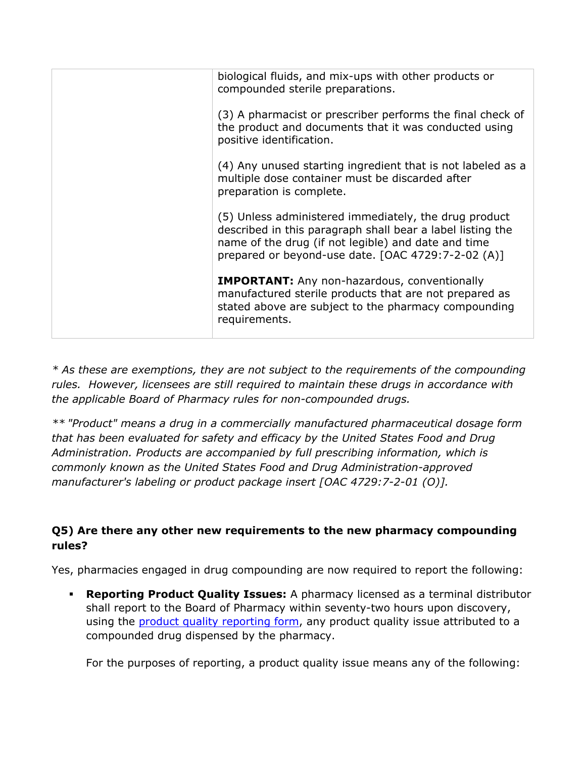| biological fluids, and mix-ups with other products or<br>compounded sterile preparations.                                                                                                                                        |
|----------------------------------------------------------------------------------------------------------------------------------------------------------------------------------------------------------------------------------|
| (3) A pharmacist or prescriber performs the final check of<br>the product and documents that it was conducted using<br>positive identification.                                                                                  |
| (4) Any unused starting ingredient that is not labeled as a<br>multiple dose container must be discarded after<br>preparation is complete.                                                                                       |
| (5) Unless administered immediately, the drug product<br>described in this paragraph shall bear a label listing the<br>name of the drug (if not legible) and date and time<br>prepared or beyond-use date. [OAC 4729:7-2-02 (A)] |
| <b>IMPORTANT:</b> Any non-hazardous, conventionally<br>manufactured sterile products that are not prepared as<br>stated above are subject to the pharmacy compounding<br>requirements.                                           |
|                                                                                                                                                                                                                                  |

*\* As these are exemptions, they are not subject to the requirements of the compounding rules. However, licensees are still required to maintain these drugs in accordance with the applicable Board of Pharmacy rules for non-compounded drugs.* 

*\*\* "Product" means a drug in a commercially manufactured pharmaceutical dosage form that has been evaluated for safety and efficacy by the United States Food and Drug Administration. Products are accompanied by full prescribing information, which is commonly known as the United States Food and Drug Administration-approved manufacturer's labeling or product package insert [OAC 4729:7-2-01 (O)].*

# <span id="page-4-0"></span>**Q5) Are there any other new requirements to the new pharmacy compounding rules?**

Yes, pharmacies engaged in drug compounding are now required to report the following:

 **Reporting Product Quality Issues:** A pharmacy licensed as a terminal distributor shall report to the Board of Pharmacy within seventy-two hours upon discovery, using the [product quality reporting form,](http://www.pharmacy.ohio.gov/CompoundReport) any product quality issue attributed to a compounded drug dispensed by the pharmacy.

For the purposes of reporting, a product quality issue means any of the following: